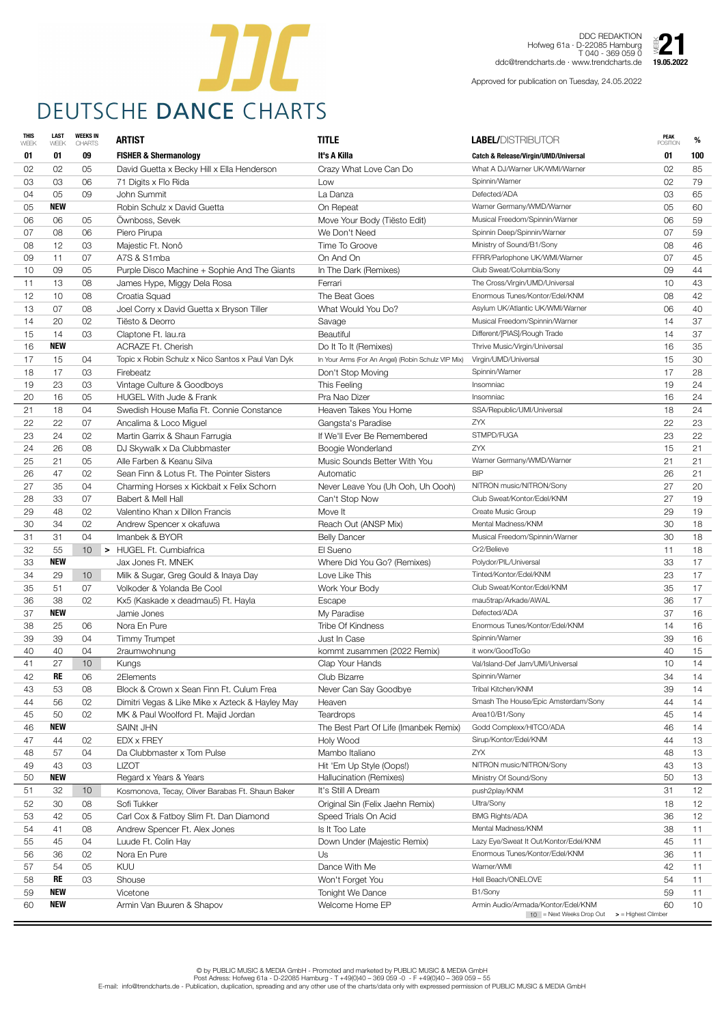

DDC REDAKTION Hofweg 61a · D-22085 Hamburg T 040 - 369 059 0 Hofweg 61a · D-DDC REDARTION<br>
Hofweg 61a · D-22085 Hamburg<br>ddc@trendcharts.de · www.trendcharts.de **19.05.2022** 

| <b>THIS</b><br>WEEK | <b>LAST</b><br>WEEK | <b>WEEKS IN</b><br><b>CHARTS</b> | <b>ARTIST</b>                                     | <b>TITLE</b>                                       | <b>LABEL/DISTRIBUTOR</b>                        | <b>PEAK</b><br><b>POSITION</b>     | %               |
|---------------------|---------------------|----------------------------------|---------------------------------------------------|----------------------------------------------------|-------------------------------------------------|------------------------------------|-----------------|
| 01                  | 01                  | 09                               | <b>FISHER &amp; Shermanology</b>                  | It's A Killa                                       | <b>Catch &amp; Release/Virgin/UMD/Universal</b> | 01                                 | 100             |
| 02                  | 02                  | 05                               | David Guetta x Becky Hill x Ella Henderson        | Crazy What Love Can Do                             | What A DJ/Warner UK/WMI/Warner                  | 02                                 | 85              |
| 03                  | 03                  | 06                               | 71 Digits x Flo Rida                              | Low                                                | Spinnin/Warner                                  | 02                                 | 79              |
| 04                  | 05                  | 09                               | John Summit                                       | La Danza                                           | Defected/ADA                                    | 03                                 | 65              |
| 05                  | <b>NEW</b>          |                                  | Robin Schulz x David Guetta                       | On Repeat                                          | Warner Germany/WMD/Warner                       | 05                                 | 60              |
| 06                  | 06                  | 05                               | Ownboss, Sevek                                    | Move Your Body (Tiësto Edit)                       | Musical Freedom/Spinnin/Warner                  | 06                                 | 59              |
| 07                  | 08                  | 06                               | Piero Pirupa                                      | We Don't Need                                      | Spinnin Deep/Spinnin/Warner                     | 07                                 | 59              |
| 08                  | 12                  | 03                               | Majestic Ft. Nonô                                 | Time To Groove                                     | Ministry of Sound/B1/Sony                       | 08                                 | 46              |
| 09                  | 11                  | 07                               | A7S & S1mba                                       | On And On                                          | FFRR/Parlophone UK/WMI/Warner                   | 07                                 | 45              |
| 10                  | 09                  | 05                               | Purple Disco Machine + Sophie And The Giants      | In The Dark (Remixes)                              | Club Sweat/Columbia/Sony                        | 09                                 | 44              |
| 11                  | 13                  | 08                               | James Hype, Miggy Dela Rosa                       | Ferrari                                            | The Cross/Virgin/UMD/Universal                  | 10                                 | 43              |
| 12                  | 10                  | 08                               | Croatia Squad                                     | The Beat Goes                                      | Enormous Tunes/Kontor/Edel/KNM                  | 08                                 | 42              |
| 13                  | 07                  | 08                               | Joel Corry x David Guetta x Bryson Tiller         | What Would You Do?                                 | Asylum UK/Atlantic UK/WMI/Warner                | 06                                 | 40              |
| 14                  | 20                  | 02                               | Tiësto & Deorro                                   | Savage                                             | Musical Freedom/Spinnin/Warner                  | 14                                 | 37              |
| 15                  | 14                  | 03                               | Claptone Ft. lau.ra                               | <b>Beautiful</b>                                   | Different/[PIAS]/Rough Trade                    | 14                                 | 37              |
| 16                  | <b>NEW</b>          |                                  | <b>ACRAZE Ft. Cherish</b>                         | Do It To It (Remixes)                              | Thrive Music/Virgin/Universal                   | 16                                 | 35              |
| 17                  | 15                  | 04                               | Topic x Robin Schulz x Nico Santos x Paul Van Dyk | In Your Arms (For An Angel) (Robin Schulz VIP Mix) | Virgin/UMD/Universal                            | 15                                 | 30              |
| 18                  | 17                  | 03                               | Firebeatz                                         | Don't Stop Moving                                  | Spinnin/Warner                                  | 17                                 | 28              |
| 19                  | 23                  | 03                               | Vintage Culture & Goodboys                        | This Feeling                                       | Insomniac                                       | 19                                 | 24              |
| 20                  | 16                  | 05                               | <b>HUGEL With Jude &amp; Frank</b>                | Pra Nao Dizer                                      | Insomniac                                       | 16                                 | 24              |
| 21                  | 18                  | 04                               | Swedish House Mafia Ft. Connie Constance          | Heaven Takes You Home                              | SSA/Republic/UMI/Universal                      | 18                                 | 24              |
| 22                  | 22                  | 07                               | Ancalima & Loco Miguel                            | Gangsta's Paradise                                 | <b>ZYX</b>                                      | 22                                 | 23              |
| 23                  | 24                  | 02                               | Martin Garrix & Shaun Farrugia                    | If We'll Ever Be Remembered                        | STMPD/FUGA                                      | 23                                 | 22              |
| 24                  | 26                  | 08                               | DJ Skywalk x Da Clubbmaster                       | Boogie Wonderland                                  | ZYX                                             | 15                                 | 21              |
| 25                  | 21                  | 05                               | Alle Farben & Keanu Silva                         | Music Sounds Better With You                       | Warner Germany/WMD/Warner                       | 21                                 | 21              |
| 26                  | 47                  | 02                               | Sean Finn & Lotus Ft. The Pointer Sisters         | Automatic                                          | <b>BIP</b>                                      | 26                                 | 21              |
| 27                  | 35                  | 04                               | Charming Horses x Kickbait x Felix Schorn         | Never Leave You (Uh Ooh, Uh Oooh)                  | NITRON music/NITRON/Sony                        | 27                                 | 20              |
| 28                  | 33                  | 07                               | Babert & Mell Hall                                | Can't Stop Now                                     | Club Sweat/Kontor/Edel/KNM                      | 27                                 | 19              |
| 29                  | 48                  | 02                               | Valentino Khan x Dillon Francis                   | Move It                                            | Create Music Group                              | 29                                 | 19              |
| 30                  | 34                  | 02                               | Andrew Spencer x okafuwa                          | Reach Out (ANSP Mix)                               | Mental Madness/KNM                              | 30                                 | 18              |
| 31                  | 31                  | 04                               | Imanbek & BYOR                                    | <b>Belly Dancer</b>                                | Musical Freedom/Spinnin/Warner                  | 30                                 | 18              |
| 32                  | 55                  | 10 <sup>°</sup>                  | > HUGEL Ft. Cumbiafrica                           | El Sueno                                           | Cr2/Believe                                     | 11                                 | 18              |
| 33                  | <b>NEW</b>          |                                  | Jax Jones Ft. MNEK                                | Where Did You Go? (Remixes)                        | Polydor/PIL/Universal                           | 33                                 | 17              |
| 34                  | 29                  | 10 <sup>°</sup>                  | Milk & Sugar, Greg Gould & Inaya Day              | Love Like This                                     | Tinted/Kontor/Edel/KNM                          | 23                                 | 17              |
| 35                  | 51                  | 07                               | Volkoder & Yolanda Be Cool                        | Work Your Body                                     | Club Sweat/Kontor/Edel/KNM                      | 35                                 | 17              |
| 36                  | 38                  | 02                               | Kx5 (Kaskade x deadmau5) Ft. Hayla                | Escape                                             | mau5trap/Arkade/AWAL                            | 36                                 | 17              |
| 37                  | <b>NEW</b>          |                                  | Jamie Jones                                       | My Paradise                                        | Defected/ADA                                    | 37                                 | 16              |
| 38                  | 25                  | 06                               | Nora En Pure                                      | <b>Tribe Of Kindness</b>                           | Enormous Tunes/Kontor/Edel/KNM                  | 14                                 | 16              |
| 39                  | 39                  | 04                               | <b>Timmy Trumpet</b>                              | Just In Case                                       | Spinnin/Warner                                  | 39                                 | 16              |
| 40                  | 40                  | 04                               | 2raumwohnung                                      | kommt zusammen (2022 Remix)                        | it worx/GoodToGo                                | 40                                 | 15              |
| 41                  | 27                  | 10 <sup>°</sup>                  | Kungs                                             | Clap Your Hands                                    | Val/Island-Def Jam/UMI/Universal                | 10                                 | 14              |
| 42                  | <b>RE</b>           | 06                               | 2Elements                                         | <b>Club Bizarre</b>                                | Spinnin/Warner                                  | 34                                 | 14              |
| 43                  | 53                  | 08                               | Block & Crown x Sean Finn Ft. Culum Frea          | Never Can Say Goodbye                              | Tribal Kitchen/KNM                              | 39                                 | 14              |
| 44                  | 56                  | 02                               | Dimitri Vegas & Like Mike x Azteck & Hayley May   | Heaven                                             | Smash The House/Epic Amsterdam/Sony             | 44                                 | 14              |
| 45                  | 50                  | 02                               | MK & Paul Woolford Ft. Majid Jordan               | <b>Teardrops</b>                                   | Area10/B1/Sony                                  | 45                                 | 14              |
| 46                  | <b>NEW</b>          |                                  | <b>SAINt JHN</b>                                  | The Best Part Of Life (Imanbek Remix)              | Godd Complexx/HITCO/ADA                         | 46                                 | 14              |
| 47                  | 44                  | 02                               | <b>EDX x FREY</b>                                 | Holy Wood                                          | Sirup/Kontor/Edel/KNM                           | 44                                 | 13              |
| 48                  | 57                  | 04                               | Da Clubbmaster x Tom Pulse                        | Mambo Italiano                                     | ZYX                                             | 48                                 | 13              |
| 49                  | 43                  | 03                               | <b>LIZOT</b>                                      | Hit 'Em Up Style (Oops!)                           | NITRON music/NITRON/Sony                        | 43                                 | 13              |
| 50                  | <b>NEW</b>          |                                  | Regard x Years & Years                            | Hallucination (Remixes)                            | Ministry Of Sound/Sony                          | 50                                 | 13              |
| 51                  | 32                  | 10 <sup>°</sup>                  | Kosmonova, Tecay, Oliver Barabas Ft. Shaun Baker  | It's Still A Dream                                 | push2play/KNM                                   | 31                                 | 12              |
| 52                  | 30                  | 08                               | Sofi Tukker                                       | Original Sin (Felix Jaehn Remix)                   | Ultra/Sony                                      | 18                                 | 12              |
| 53                  | 42                  | 05                               | Carl Cox & Fatboy Slim Ft. Dan Diamond            | Speed Trials On Acid                               | <b>BMG Rights/ADA</b>                           | 36                                 | 12              |
| 54                  | 41                  | 08                               | Andrew Spencer Ft. Alex Jones                     | Is It Too Late                                     | Mental Madness/KNM                              | 38                                 | 11              |
| 55                  | 45                  | 04                               | Luude Ft. Colin Hay                               | Down Under (Majestic Remix)                        | Lazy Eye/Sweat It Out/Kontor/Edel/KNM           | 45                                 | 11              |
| 56                  | 36                  | 02                               | Nora En Pure                                      | Us                                                 | Enormous Tunes/Kontor/Edel/KNM                  | 36                                 | 11              |
| 57                  | 54                  | 05                               | <b>KUU</b>                                        | Dance With Me                                      | Warner/WMI                                      | 42                                 | 11              |
| 58                  | <b>RE</b>           | 03                               | Shouse                                            | Won't Forget You                                   | Hell Beach/ONELOVE                              | 54                                 | 11              |
| 59                  | <b>NEW</b>          |                                  | Vicetone                                          | <b>Tonight We Dance</b>                            | B1/Sony                                         | 59                                 | $11$            |
| 60                  | <b>NEW</b>          |                                  | Armin Van Buuren & Shapov                         | Welcome Home EP                                    | Armin Audio/Armada/Kontor/Edel/KNM              | 60                                 | 10 <sup>°</sup> |
|                     |                     |                                  |                                                   |                                                    | $10$ = Next Weeks Drop Out                      | $\triangleright$ = Highest Climber |                 |